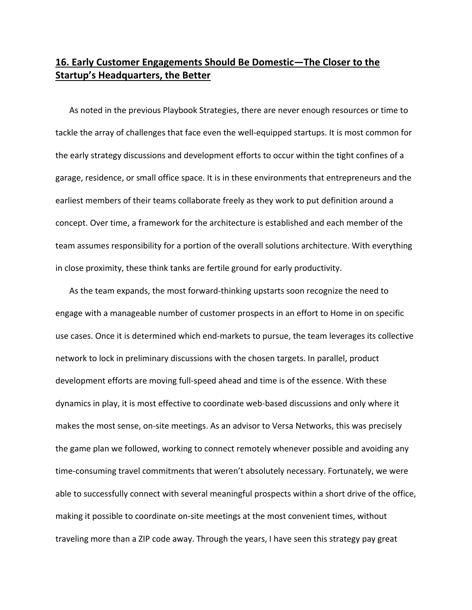## **16. Early Customer Engagements Should Be Domestic—The Closer to the Startup's Headquarters, the Better**

As noted in the previous Playbook Strategies, there are never enough resources or time to tackle the array of challenges that face even the well‐equipped startups. It is most common for the early strategy discussions and development efforts to occur within the tight confines of a garage, residence, or small office space. It is in these environments that entrepreneurs and the earliest members of their teams collaborate freely as they work to put definition around a concept. Over time, a framework for the architecture is established and each member of the team assumes responsibility for a portion of the overall solutions architecture. With everything in close proximity, these think tanks are fertile ground for early productivity.

As the team expands, the most forward‐thinking upstarts soon recognize the need to engage with a manageable number of customer prospects in an effort to Home in on specific use cases. Once it is determined which end‐markets to pursue, the team leverages its collective network to lock in preliminary discussions with the chosen targets. In parallel, product development efforts are moving full‐speed ahead and time is of the essence. With these dynamics in play, it is most effective to coordinate web‐based discussions and only where it makes the most sense, on‐site meetings. As an advisor to Versa Networks, this was precisely the game plan we followed, working to connect remotely whenever possible and avoiding any time‐consuming travel commitments that weren't absolutely necessary. Fortunately, we were able to successfully connect with several meaningful prospects within a short drive of the office, making it possible to coordinate on‐site meetings at the most convenient times, without traveling more than a ZIP code away. Through the years, I have seen this strategy pay great